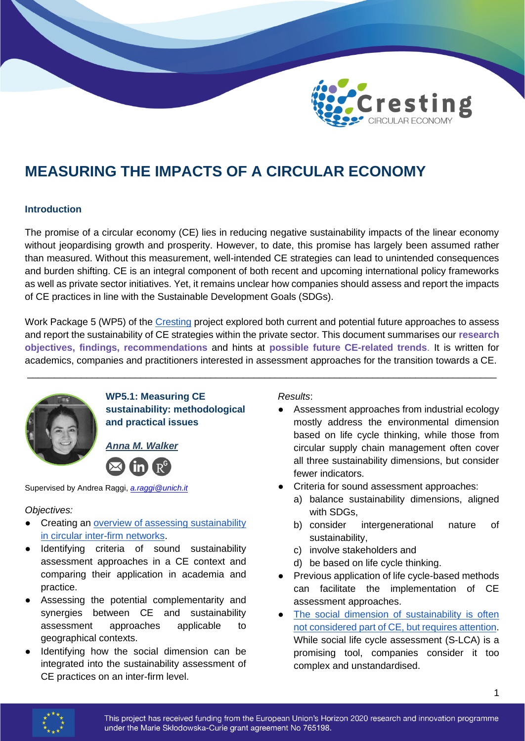

# **MEASURING THE IMPACTS OF A CIRCULAR ECONOMY**

# **Introduction**

The promise of a circular economy (CE) lies in reducing negative sustainability impacts of the linear economy without jeopardising growth and prosperity. However, to date, this promise has largely been assumed rather than measured. Without this measurement, well-intended CE strategies can lead to unintended consequences and burden shifting. CE is an integral component of both recent and upcoming international policy frameworks as well as private sector initiatives. Yet, it remains unclear how companies should assess and report the impacts of CE practices in line with the Sustainable Development Goals (SDGs).

Work Package 5 (WP5) of the [Cresting](https://cresting.hull.ac.uk/) project explored both current and potential future approaches to assess and report the sustainability of CE strategies within the private sector. This document summarises our **research objectives, findings, recommendations** and hints at **possible future CE-related trends**. It is written for academics, companies and practitioners interested in assessment approaches for the transition towards a CE.

\_\_\_\_\_\_\_\_\_\_\_\_\_\_\_\_\_\_\_\_\_\_\_\_\_\_\_\_\_\_\_\_\_\_\_\_\_\_\_\_\_\_\_\_\_\_\_\_\_\_\_\_\_\_\_\_\_\_\_\_\_\_\_\_\_\_\_\_\_\_\_\_\_\_\_\_\_\_\_\_\_\_\_\_\_\_\_



**WP5.1: Measuring CE sustainability: methodological and practical issues**

*[Anna M. Walker](https://www.linkedin.com/in/anna-walker-65685093/)*

Supervised by Andrea Raggi, *[a.raggi@unich.it](mailto:a.raggi@unich.it)*

*Objectives:*

- Creating an overview of assessing sustainability [in circular inter-firm networks.](https://doi.org/10.1016/j.jclepro.2020.125457)
- Identifying criteria of sound sustainability assessment approaches in a CE context and comparing their application in academia and practice.
- Assessing the potential complementarity and synergies between CE and sustainability assessment approaches applicable to geographical contexts.
- Identifying how the social dimension can be integrated into the sustainability assessment of CE practices on an inter-firm level.

*Results*:

- Assessment approaches from industrial ecology mostly address the environmental dimension based on life cycle thinking, while those from circular supply chain management often cover all three sustainability dimensions, but consider fewer indicators.
- Criteria for sound assessment approaches:
	- a) balance sustainability dimensions, aligned with SDGs.
	- b) consider intergenerational nature of sustainability,
	- c) involve stakeholders and
	- d) be based on life cycle thinking.
- Previous application of life cycle-based methods can facilitate the implementation of CE assessment approaches.
- The social dimension of sustainability is often [not considered part of CE,](https://doi.org/10.1016/j.spc.2021.01.030) but requires attention. While social life cycle assessment (S-LCA) is a promising tool, companies consider it too complex and unstandardised.

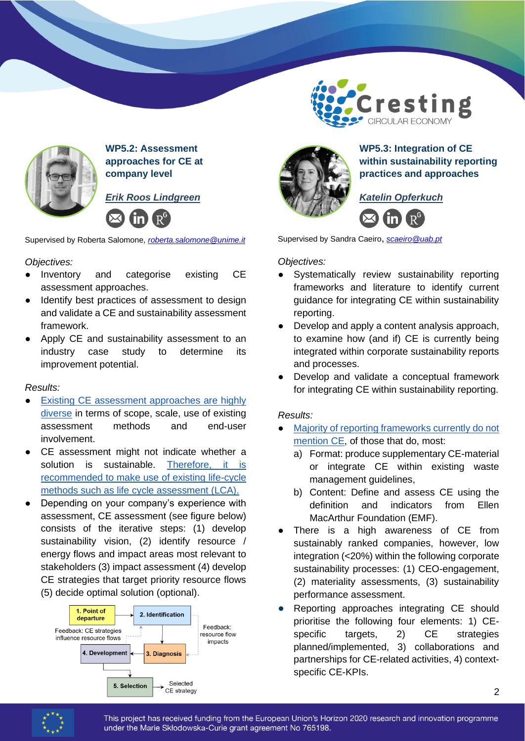

**WP5.2: Assessment approaches for CE at company level**

*Erik Roos Lindgreen* 



Supervised by Roberta Salomone, *[roberta.salomone@unime.it](mailto:roberta.salomone@unime.it)*

# *Objectives:*

- Inventory and categorise existing CE assessment approaches.
- Identify best practices of assessment to design and validate a CE and sustainability assessment framework.
- Apply CE and sustainability assessment to an industry case study to determine its improvement potential.

# *Results:*

- Existing CE assessment approaches are highly [diverse](https://www.mdpi.com/2071-1050/12/12/4973) in terms of scope, scale, use of existing assessment methods and end-user involvement.
- CE assessment might not indicate whether a solution is sustainable. [Therefore, it is](https://link.springer.com/article/10.1007/s11367-021-01972-4)  [recommended to make use of existing life-cycle](https://link.springer.com/article/10.1007/s11367-021-01972-4)  [methods such as life cycle assessment \(LCA\).](https://link.springer.com/article/10.1007/s11367-021-01972-4)
- Depending on your company's experience with assessment, CE assessment (see figure below) consists of the iterative steps: (1) develop sustainability vision, (2) identify resource / energy flows and impact areas most relevant to stakeholders (3) impact assessment (4) develop CE strategies that target priority resource flows (5) decide optimal solution (optional).





**WP5.3: Integration of CE within sustainability reporting practices and approaches**

**Cresting** 

CIRCULAR ECONOMY

*Katelin Opferkuch*



Supervised by Sandra Caeiro, *[scaeiro@uab.pt](mailto:scaeiro@uab.pt)*

*Objectives:* 

- Systematically review sustainability reporting frameworks and literature to identify current guidance for integrating CE within sustainability reporting.
- Develop and apply a content analysis approach, to examine how (and if) CE is currently being integrated within corporate sustainability reports and processes.
- Develop and validate a conceptual framework for integrating CE within sustainability reporting.

# *Results:*

- [Majority of reporting frameworks currently do not](https://onlinelibrary.wiley.com/doi/full/10.1002/bse.2854)  [mention CE,](https://onlinelibrary.wiley.com/doi/full/10.1002/bse.2854) of those that do, most:
	- a) Format: produce supplementary CE-material or integrate CE within existing waste management guidelines,
	- b) Content: Define and assess CE using the definition and indicators from Ellen MacArthur Foundation (EMF).
- There is a high awareness of CE from sustainably ranked companies, however, low integration (<20%) within the following corporate sustainability processes: (1) CEO-engagement, (2) materiality assessments, (3) sustainability performance assessment.
- Reporting approaches integrating CE should prioritise the following four elements: 1) CEspecific targets, 2) CE strategies planned/implemented, 3) collaborations and partnerships for CE-related activities, 4) contextspecific CE-KPIs.



This project has received funding from the European Union's Horizon 2020 research and innovation programme under the Marie Skłodowska-Curie grant agreement No 765198.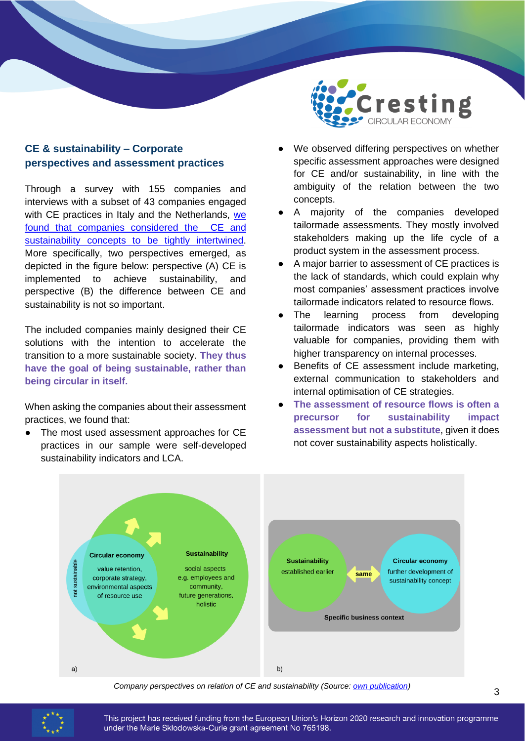# **CE & sustainability – Corporate perspectives and assessment practices**

Through a survey with 155 companies and interviews with a subset of 43 companies engaged with CE practices in Italy and the Netherlands, we [found that companies considered the CE and](https://link.springer.com/article/10.1007/s43615-021-00064-7)  [sustainability concepts to be tightly intertwined.](https://link.springer.com/article/10.1007/s43615-021-00064-7) More specifically, two perspectives emerged, as depicted in the figure below: perspective (A) CE is implemented to achieve sustainability, and perspective (B) the difference between CE and sustainability is not so important.

The included companies mainly designed their CE solutions with the intention to accelerate the transition to a more sustainable society. **They thus have the goal of being sustainable, rather than being circular in itself.**

When asking the companies about their assessment practices, we found that:

The most used assessment approaches for CE practices in our sample were self-developed sustainability indicators and LCA.



- We observed differing perspectives on whether specific assessment approaches were designed for CE and/or sustainability, in line with the ambiguity of the relation between the two concepts.
- A majority of the companies developed tailormade assessments. They mostly involved stakeholders making up the life cycle of a product system in the assessment process.
- A major barrier to assessment of CE practices is the lack of standards, which could explain why most companies' assessment practices involve tailormade indicators related to resource flows.
- The learning process from developing tailormade indicators was seen as highly valuable for companies, providing them with higher transparency on internal processes.
- Benefits of CE assessment include marketing, external communication to stakeholders and internal optimisation of CE strategies.
- **The assessment of resource flows is often a precursor for sustainability impact assessment but not a substitute**, given it does not cover sustainability aspects holistically.



*Company perspectives on relation of CE and sustainability (Source: [own publication\)](https://link.springer.com/article/10.1007/s43615-021-00064-7)*